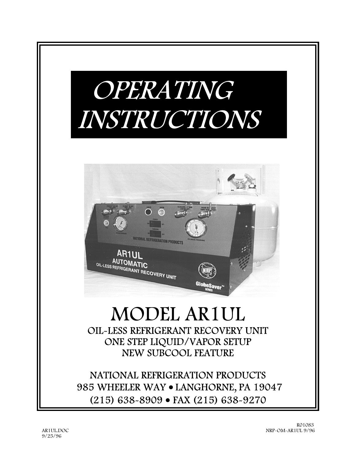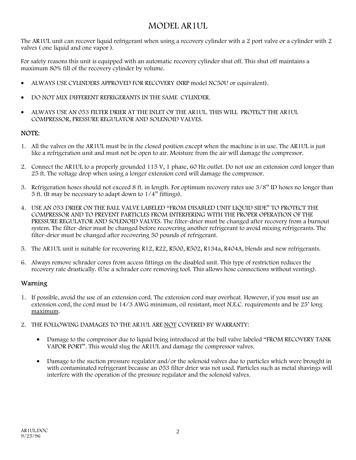# MODEL AR1UL

The AR1UL unit can recover liquid refrigerant when using a recovery cylinder with a 2 port valve or a cylinder with 2 valves ( one liquid and one vapor ).

For safety reasons this unit is equipped with an automatic recovery cylinder shut off. This shut off maintains a maximum 80% fill of the recovery cylinder by volume.

- ALWAYS USE CYLINDERS APPROVED FOR RECOVERY (NRP model NC50U or equivalent).
- DO NOT MIX DIFFERENT REFRIGERANTS IN THE SAME CYLINDER.
- ALWAYS USE AN 053 FILTER DRIER AT THE INLET OF THE AR1UL. THIS WILL PROTECT THE AR1UL COMPRESSOR, PRESSURE REGULATOR AND SOLENOID VALVES.

## NOTE:

- 1. All the valves on the AR1UL must be in the closed position except when the machine is in use. The AR1UL is just like a refrigeration unit and must not be open to air. Moisture from the air will damage the compressor.
- 2. Connect the AR1UL to a properly grounded 115 V, 1 phase, 60 Hz outlet. Do not use an extension cord longer than 25 ft. The voltage drop when using a longer extension cord will damage the compressor.
- 3. Refrigeration hoses should not exceed 8 ft. in length. For optimum recovery rates use 3/8" ID hoses no longer than 5 ft. (It may be necessary to adapt down to 1/4" fittings).
- 4. USE AN 053 DRIER ON THE BALL VALVE LABELED "FROM DISABLED UNIT LIQUID SIDE" TO PROTECT THE COMPRESSOR AND TO PREVENT PARTICLES FROM INTERFERING WITH THE PROPER OPERATION OF THE PRESSURE REGULATOR AND SOLENOID VALVES. The filter-drier must be changed after recovery from a burnout system. The filter-drier must be changed before recovering another refrigerant to avoid mixing refrigerants. The filter-drier must be changed after recovering 50 pounds of refrigerant.
- 5. The AR1UL unit is suitable for recovering R12, R22, R500, R502, R134a, R404A, blends and new refrigerants.
- 6. Always remove schrader cores from access fittings on the disabled unit. This type of restriction reduces the recovery rate drastically. (Use a schrader core removing tool. This allows hose connections without venting).

## Warning

- 1. If possible, avoid the use of an extension cord. The extension cord may overheat. However, if you must use an extension cord, the cord must be 14/3 AWG minimum, oil resistant, meet N.E.C. requirements and be 25' long maximum.
- 2. THE FOLLOWING DAMAGES TO THE AR1UL ARE NOT COVERED BY WARRANTY:
	- Damage to the compressor due to liquid being introduced at the ball valve labeled "FROM RECOVERY TANK VAPOR PORT". This would slug the AR1UL and damage the compressor valves.
	- Damage to the suction pressure regulator and/or the solenoid valves due to particles which were brought in with contaminated refrigerant because an 053 filter drier was not used. Particles such as metal shavings will interfere with the operation of the pressure regulator and the solenoid valves.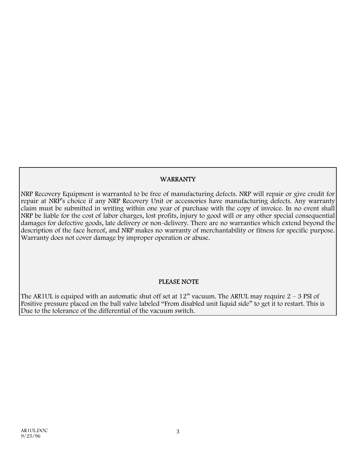## WARRANTY

NRP Recovery Equipment is warranted to be free of manufacturing defects. NRP will repair or give credit for repair at NRP's choice if any NRP Recovery Unit or accessories have manufacturing defects. Any warranty claim must be submitted in writing within one year of purchase with the copy of invoice. In no event shall NRP be liable for the cost of labor charges, lost profits, injury to good will or any other special consequential damages for defective goods, late delivery or non-delivery. There are no warranties which extend beyond the description of the face hereof, and NRP makes no warranty of merchantability or fitness for specific purpose. Warranty does not cover damage by improper operation or abuse.

## PLEASE NOTE

The AR1UL is equiped with an automatic shut off set at  $12$ " vacuum. The ARIUL may require  $2 - 3$  PSI of Positive pressure placed on the ball valve labeled "From disabled unit liquid side" to get it to restart. This is Due to the tolerance of the differential of the vacuum switch.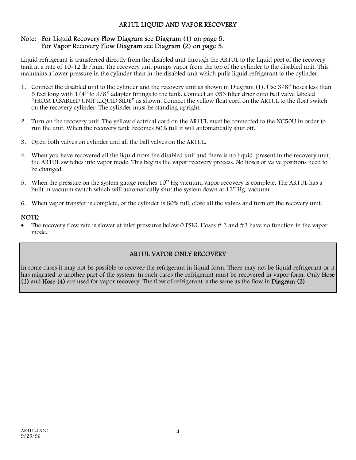#### AR1UL LIQUID AND VAPOR RECOVERY

#### Note: For Liquid Recovery Flow Diagram see Diagram (1) on page 5. For Vapor Recovery Flow Diagram see Diagram (2) on page 5.

Liquid refrigerant is transferred directly from the disabled unit through the AR1UL to the liquid port of the recovery tank at a rate of 10-12 lb./min. The recovery unit pumps vapor from the top of the cylinder to the disabled unit. This maintains a lower pressure in the cylinder than in the disabled unit which pulls liquid refrigerant to the cylinder.

- 1. Connect the disabled unit to the cylinder and the recovery unit as shown in Diagram (1). Use 3/8" hoses less than 5 feet long with 1/4" to 3/8" adapter fittings to the tank. Connect an 053 filter drier onto ball valve labeled "FROM DISABLED UNIT LIQUID SIDE" as shown. Connect the yellow float cord on the AR1UL to the float switch on the recovery cylinder. The cylinder must be standing upright.
- 2. Turn on the recovery unit. The yellow electrical cord on the AR1UL must be connected to the NC50U in order to run the unit. When the recovery tank becomes 80% full it will automatically shut off.
- 3. Open both valves on cylinder and all the ball valves on the AR1UL.
- 4. When you have recovered all the liquid from the disabled unit and there is no liquid present in the recovery unit, the AR1UL switches into vapor mode. This begins the vapor recovery process. No hoses or valve positions need to be changed.
- 5. When the pressure on the system gauge reaches 10" Hg vacuum, vapor recovery is complete. The AR1UL has a built in vacuum switch which will automatically shut the system down at 12" Hg. vacuum
- 6. When vapor transfer is complete, or the cylinder is 80% full, close all the valves and turn off the recovery unit.

#### NOTE:

The recovery flow rate is slower at inlet pressures below 0 PSIG. Hoses # 2 and #3 have no function in the vapor mode.

# AR1UL VAPOR ONLY RECOVERY

In some cases it may not be possible to recover the refrigerant in liquid form. There may not be liquid refrigerant or it has migrated to another part of the system. In such cases the refrigerant must be recovered in vapor form. Only Hose (1) and Hose (4) are used for vapor recovery. The flow of refrigerant is the same as the flow in Diagram (2).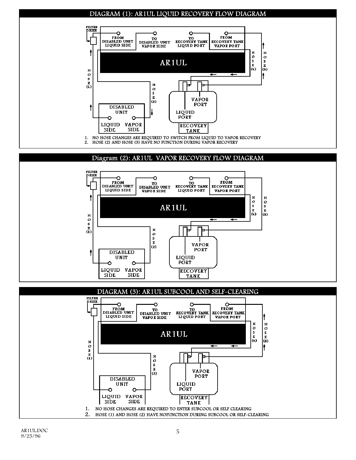